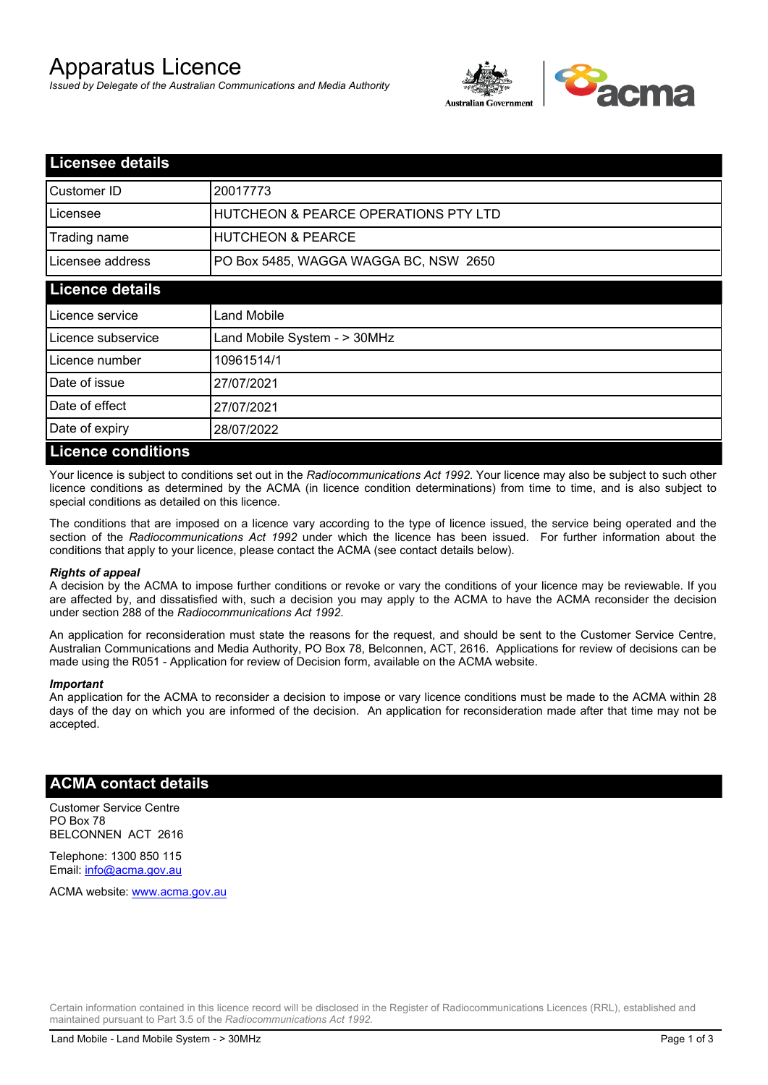# Apparatus Licence

*Issued by Delegate of the Australian Communications and Media Authority*



| <b>Licensee details</b>   |                                       |  |
|---------------------------|---------------------------------------|--|
| Customer ID               | 20017773                              |  |
| Licensee                  | HUTCHEON & PEARCE OPERATIONS PTY LTD  |  |
| Trading name              | <b>HUTCHEON &amp; PEARCE</b>          |  |
| Licensee address          | PO Box 5485, WAGGA WAGGA BC, NSW 2650 |  |
| <b>Licence details</b>    |                                       |  |
| Licence service           | Land Mobile                           |  |
| Licence subservice        | Land Mobile System - > 30MHz          |  |
| Licence number            | 10961514/1                            |  |
| Date of issue             | 27/07/2021                            |  |
| Date of effect            | 27/07/2021                            |  |
| Date of expiry            | 28/07/2022                            |  |
| <b>Licence conditions</b> |                                       |  |

Your licence is subject to conditions set out in the *Radiocommunications Act 1992*. Your licence may also be subject to such other licence conditions as determined by the ACMA (in licence condition determinations) from time to time, and is also subject to special conditions as detailed on this licence.

The conditions that are imposed on a licence vary according to the type of licence issued, the service being operated and the section of the *Radiocommunications Act 1992* under which the licence has been issued. For further information about the conditions that apply to your licence, please contact the ACMA (see contact details below).

#### *Rights of appeal*

A decision by the ACMA to impose further conditions or revoke or vary the conditions of your licence may be reviewable. If you are affected by, and dissatisfied with, such a decision you may apply to the ACMA to have the ACMA reconsider the decision under section 288 of the *Radiocommunications Act 1992*.

An application for reconsideration must state the reasons for the request, and should be sent to the Customer Service Centre, Australian Communications and Media Authority, PO Box 78, Belconnen, ACT, 2616. Applications for review of decisions can be made using the R051 - Application for review of Decision form, available on the ACMA website.

#### *Important*

An application for the ACMA to reconsider a decision to impose or vary licence conditions must be made to the ACMA within 28 days of the day on which you are informed of the decision. An application for reconsideration made after that time may not be accepted.

### **ACMA contact details**

Customer Service Centre PO Box 78 BELCONNEN ACT 2616

Telephone: 1300 850 115 Email: info@acma.gov.au

ACMA website: www.acma.gov.au

Certain information contained in this licence record will be disclosed in the Register of Radiocommunications Licences (RRL), established and maintained pursuant to Part 3.5 of the *Radiocommunications Act 1992.*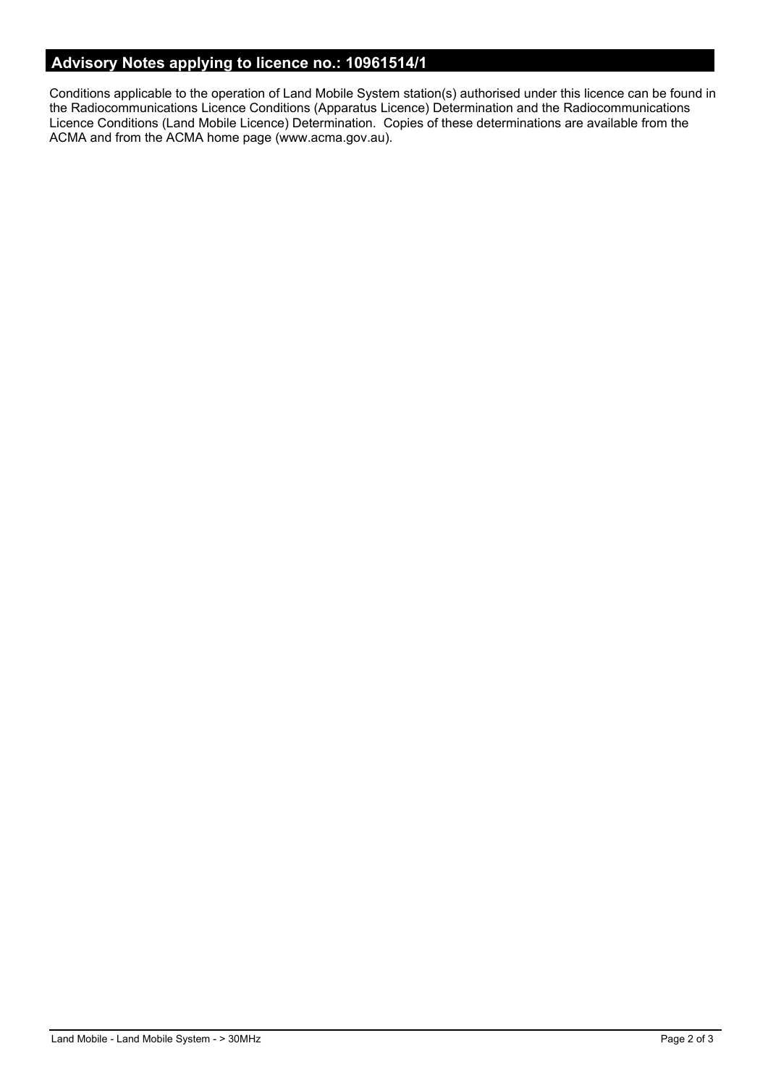# **Advisory Notes applying to licence no.: 10961514/1**

Conditions applicable to the operation of Land Mobile System station(s) authorised under this licence can be found in the Radiocommunications Licence Conditions (Apparatus Licence) Determination and the Radiocommunications Licence Conditions (Land Mobile Licence) Determination. Copies of these determinations are available from the ACMA and from the ACMA home page (www.acma.gov.au).